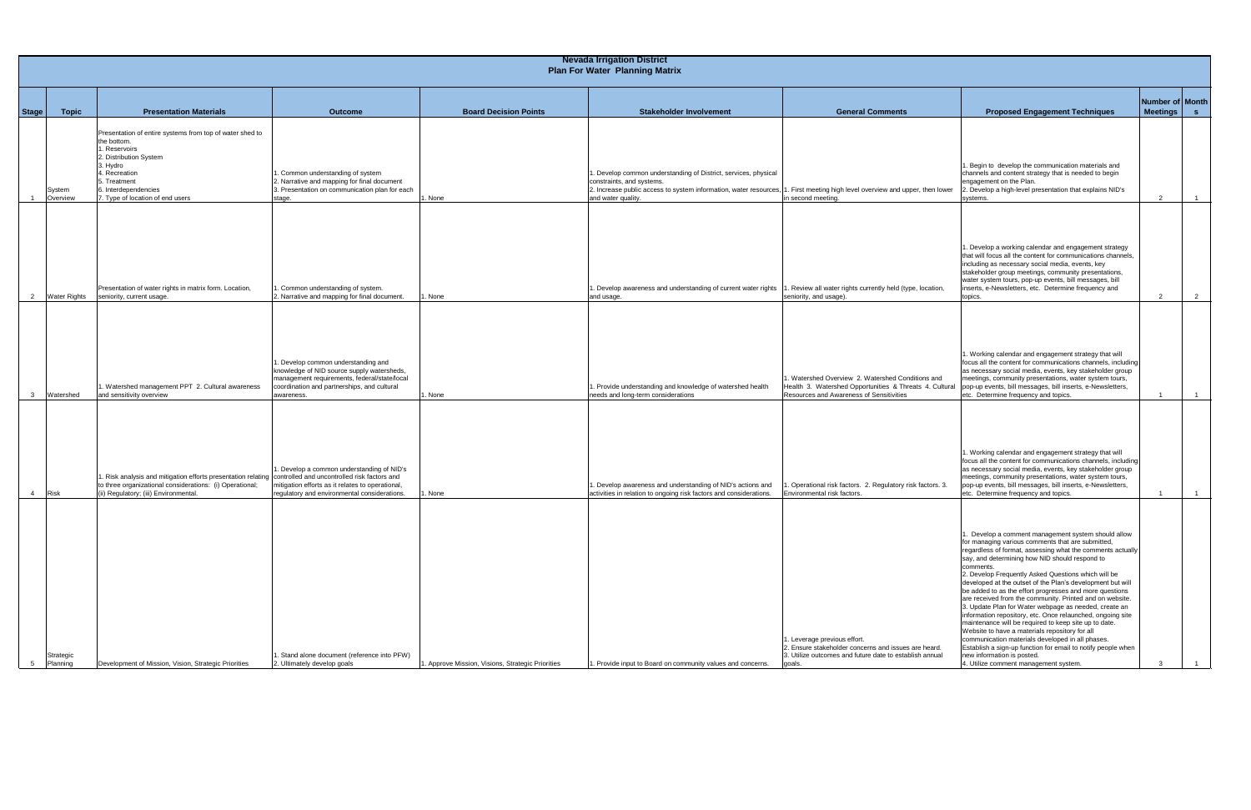| <b>Nevada Irrigation District</b><br><b>Plan For Water Planning Matrix</b> |                                                                                                                                                                                                                             |                                                                                                                                                                                               |                                                   |                                                                                                                                                                                          |                                                                                                                                                           |                                                                                                                                                                                                                                                                                                                                                                                                                                                                                                                                                                                                                                                                                                                                                                                                                                                                                                                |                                  |  |
|----------------------------------------------------------------------------|-----------------------------------------------------------------------------------------------------------------------------------------------------------------------------------------------------------------------------|-----------------------------------------------------------------------------------------------------------------------------------------------------------------------------------------------|---------------------------------------------------|------------------------------------------------------------------------------------------------------------------------------------------------------------------------------------------|-----------------------------------------------------------------------------------------------------------------------------------------------------------|----------------------------------------------------------------------------------------------------------------------------------------------------------------------------------------------------------------------------------------------------------------------------------------------------------------------------------------------------------------------------------------------------------------------------------------------------------------------------------------------------------------------------------------------------------------------------------------------------------------------------------------------------------------------------------------------------------------------------------------------------------------------------------------------------------------------------------------------------------------------------------------------------------------|----------------------------------|--|
| Stage<br><b>Topic</b>                                                      | <b>Presentation Materials</b>                                                                                                                                                                                               | <b>Outcome</b>                                                                                                                                                                                | <b>Board Decision Points</b>                      | <b>Stakeholder Involvement</b>                                                                                                                                                           | <b>General Comments</b>                                                                                                                                   | <b>Proposed Engagement Techniques</b>                                                                                                                                                                                                                                                                                                                                                                                                                                                                                                                                                                                                                                                                                                                                                                                                                                                                          | Number of Month<br>Meetings   s  |  |
| System<br>Overview                                                         | Presentation of entire systems from top of water shed to<br>the bottom.<br>1. Reservoirs<br>2. Distribution System<br>3. Hydro<br>4. Recreation<br>5. Treatment<br>6. Interdependencies<br>7. Type of location of end users | Common understanding of system<br>2. Narrative and mapping for final document<br>3. Presentation on communication plan for each<br>stage.                                                     | <b>None</b>                                       | . Develop common understanding of District, services, physical<br>constraints, and systems.<br>2. Increase public access to system information, water resources, 1<br>and water quality. | First meeting high level overview and upper, then lower<br>in second meeting.                                                                             | I. Begin to develop the communication materials and<br>channels and content strategy that is needed to begin<br>engagement on the Plan.<br>2. Develop a high-level presentation that explains NID's<br>systems.                                                                                                                                                                                                                                                                                                                                                                                                                                                                                                                                                                                                                                                                                                | $\overline{2}$<br>$\overline{1}$ |  |
| $\overline{2}$<br><b>Water Rights</b>                                      | Presentation of water rights in matrix form. Location,<br>seniority, current usage.                                                                                                                                         | Common understanding of system.<br>2. Narrative and mapping for final document.                                                                                                               | None                                              | . Develop awareness and understanding of current water rights<br>and usage.                                                                                                              | Review all water rights currently held (type, location,<br>seniority, and usage).                                                                         | 1. Develop a working calendar and engagement strategy<br>that will focus all the content for communications channels,<br>including as necessary social media, events, key<br>stakeholder group meetings, community presentations,<br>water system tours, pop-up events, bill messages, bill<br>inserts, e-Newsletters, etc. Determine frequency and<br>topics.                                                                                                                                                                                                                                                                                                                                                                                                                                                                                                                                                 | $\overline{2}$<br>$\overline{2}$ |  |
| Watershed                                                                  | 1. Watershed management PPT 2. Cultural awareness<br>and sensitivity overview                                                                                                                                               | . Develop common understanding and<br>knowledge of NID source supply watersheds,<br>management requirements, federal/state/local<br>coordination and partnerships, and cultural<br>awareness. | None                                              | . Provide understanding and knowledge of watershed health<br>needs and long-term considerations                                                                                          | 1. Watershed Overview 2. Watershed Conditions and<br>Health 3. Watershed Opportunities & Threats 4. Cultural<br>Resources and Awareness of Sensitivities  | 1. Working calendar and engagement strategy that will<br>focus all the content for communications channels, including<br>as necessary social media, events, key stakeholder group<br>meetings, community presentations, water system tours,<br>pop-up events, bill messages, bill inserts, e-Newsletters,<br>etc. Determine frequency and topics.                                                                                                                                                                                                                                                                                                                                                                                                                                                                                                                                                              | $\overline{1}$                   |  |
| Risk<br>$\overline{4}$                                                     | 1. Risk analysis and mitigation efforts presentation relating controlled and uncontrolled risk factors and<br>to three organizational considerations: (i) Operational;<br>(ii) Regulatory; (iii) Environmental.             | . Develop a common understanding of NID's<br>mitigation efforts as it relates to operational,<br>regulatory and environmental considerations.                                                 | None                                              | . Develop awareness and understanding of NID's actions and<br>activities in relation to ongoing risk factors and considerations.                                                         | Operational risk factors. 2. Regulatory risk factors. 3.<br>Environmental risk factors.                                                                   | 1. Working calendar and engagement strategy that will<br>focus all the content for communications channels, including<br>as necessary social media, events, key stakeholder group<br>meetings, community presentations, water system tours,<br>pop-up events, bill messages, bill inserts, e-Newsletters,<br>etc. Determine frequency and topics.                                                                                                                                                                                                                                                                                                                                                                                                                                                                                                                                                              | $\overline{1}$                   |  |
| Strategic<br>Planning                                                      | Development of Mission, Vision, Strategic Priorities                                                                                                                                                                        | . Stand alone document (reference into PFW)<br>2. Ultimately develop goals                                                                                                                    | I. Approve Mission, Visions, Strategic Priorities | . Provide input to Board on community values and concerns.                                                                                                                               | I. Leverage previous effort.<br>2. Ensure stakeholder concerns and issues are heard.<br>3. Utilize outcomes and future date to establish annual<br>goals. | 1. Develop a comment management system should allow<br>for managing various comments that are submitted,<br>regardless of format, assessing what the comments actually<br>say, and determining how NID should respond to<br>comments.<br>2. Develop Frequently Asked Questions which will be<br>developed at the outset of the Plan's development but will<br>be added to as the effort progresses and more questions<br>are received from the community. Printed and on website.<br>3. Update Plan for Water webpage as needed, create an<br>information repository, etc. Once relaunched, ongoing site<br>maintenance will be required to keep site up to date.<br>Website to have a materials repository for all<br>communication materials developed in all phases.<br>Establish a sign-up function for email to notify people when<br>new information is posted.<br>4. Utilize comment management system. |                                  |  |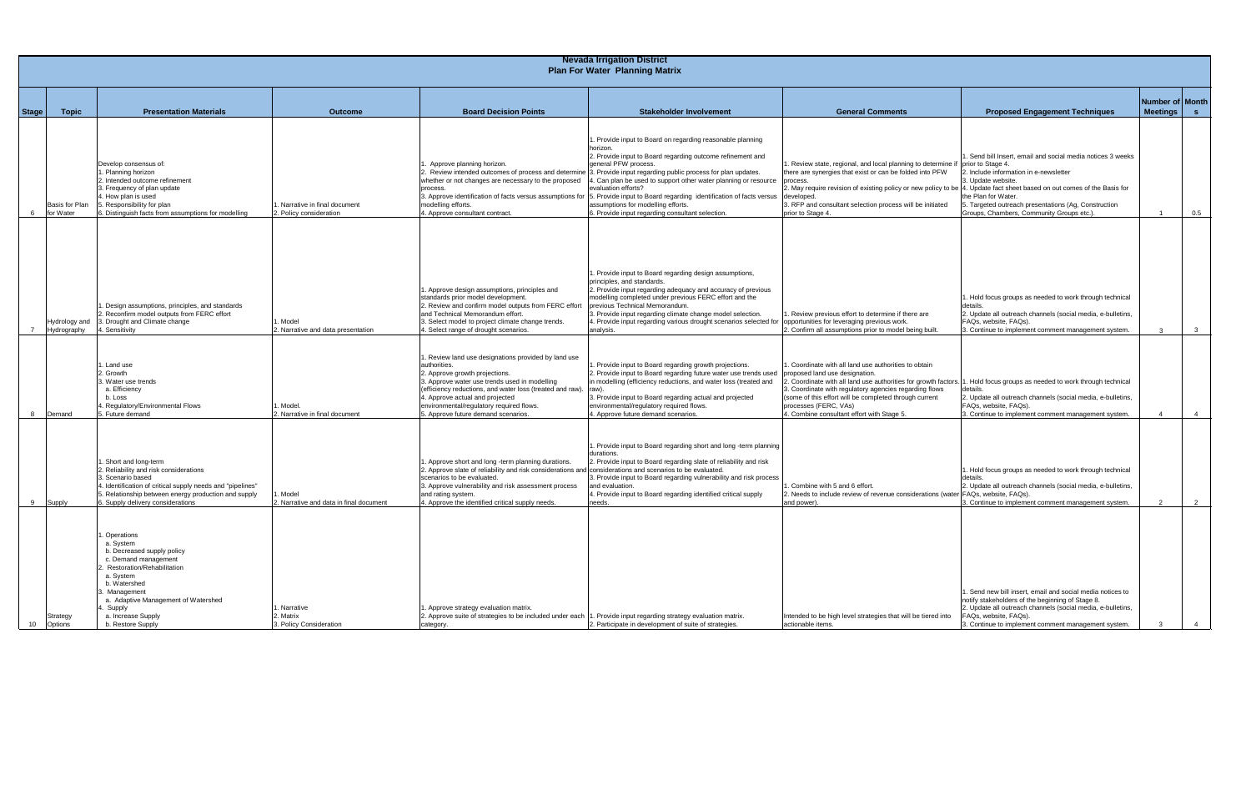|       | <b>Nevada Irrigation District</b>     |                                                                                                                                                                                                                                                               |                                                        |                                                                                                                                                                                                                                                                                                                                        |                                                                                                                                                                                                                                                                                                                                                                                                                                                                                                                                                                                                 |                                                                                                                                                                                                                                                                                                                                                                                                            |                                                                                                                                                                                                                                                               |                                  |  |  |
|-------|---------------------------------------|---------------------------------------------------------------------------------------------------------------------------------------------------------------------------------------------------------------------------------------------------------------|--------------------------------------------------------|----------------------------------------------------------------------------------------------------------------------------------------------------------------------------------------------------------------------------------------------------------------------------------------------------------------------------------------|-------------------------------------------------------------------------------------------------------------------------------------------------------------------------------------------------------------------------------------------------------------------------------------------------------------------------------------------------------------------------------------------------------------------------------------------------------------------------------------------------------------------------------------------------------------------------------------------------|------------------------------------------------------------------------------------------------------------------------------------------------------------------------------------------------------------------------------------------------------------------------------------------------------------------------------------------------------------------------------------------------------------|---------------------------------------------------------------------------------------------------------------------------------------------------------------------------------------------------------------------------------------------------------------|----------------------------------|--|--|
|       | <b>Plan For Water Planning Matrix</b> |                                                                                                                                                                                                                                                               |                                                        |                                                                                                                                                                                                                                                                                                                                        |                                                                                                                                                                                                                                                                                                                                                                                                                                                                                                                                                                                                 |                                                                                                                                                                                                                                                                                                                                                                                                            |                                                                                                                                                                                                                                                               |                                  |  |  |
| Stage | <b>Topic</b>                          | <b>Presentation Materials</b>                                                                                                                                                                                                                                 | <b>Outcome</b>                                         | <b>Board Decision Points</b>                                                                                                                                                                                                                                                                                                           | <b>Stakeholder Involvement</b>                                                                                                                                                                                                                                                                                                                                                                                                                                                                                                                                                                  | <b>General Comments</b>                                                                                                                                                                                                                                                                                                                                                                                    | <b>Proposed Engagement Techniques</b>                                                                                                                                                                                                                         | Number of Month<br>Meetings<br>S |  |  |
| 6     | Basis for Plan<br>for Water           | Develop consensus of:<br>. Planning horizon<br>2. Intended outcome refinement<br>3. Frequency of plan update<br>4. How plan is used<br>5. Responsibility for plan<br>3. Distinguish facts from assumptions for modelling                                      | Narrative in final document<br>2. Policy consideration | Approve planning horizon.<br>whether or not changes are necessary to the proposed<br>process.<br>modelling efforts.<br>4. Approve consultant contract.                                                                                                                                                                                 | Provide input to Board on regarding reasonable planning<br>horizon.<br>2. Provide input to Board regarding outcome refinement and<br>general PFW process.<br>Review intended outcomes of process and determine 3. Provide input regarding public process for plan updates.<br>4. Can plan be used to support other water planning or resource<br>evaluation efforts?<br>3. Approve identification of facts versus assumptions for [5. Provide input to Board regarding identification of facts versus<br>assumptions for modelling efforts.<br>6. Provide input regarding consultant selection. | 1. Review state, regional, and local planning to determine if prior to Stage 4<br>there are synergies that exist or can be folded into PFW<br>process.<br>2. May require revision of existing policy or new policy to be  4. Update fact sheet based on out comes of the Basis for<br>developed.<br>3. RFP and consultant selection process will be initiated<br>prior to Stage 4.                         | . Send bill Insert, email and social media notices 3 weeks<br>2. Include information in e-newsletter<br>3. Update website.<br>the Plan for Water.<br>5. Targeted outreach presentations (Ag, Construction<br>Groups, Chambers, Community Groups etc.).        | 0.5                              |  |  |
|       | Hydrology anc<br>Hydrography          | . Design assumptions, principles, and standards<br>2. Reconfirm model outputs from FERC effort<br>3. Drought and Climate change<br>1. Sensitivity                                                                                                             | . Model<br>2. Narrative and data presentation          | . Approve design assumptions, principles and<br>standards prior model development.<br>2. Review and confirm model outputs from FERC effort<br>and Technical Memorandum effort.<br>3. Select model to project climate change trends.<br>. Select range of drought scenarios.                                                            | . Provide input to Board regarding design assumptions,<br>principles, and standards.<br>2. Provide input regarding adequacy and accuracy of previous<br>modelling completed under previous FERC effort and the<br>previous Technical Memorandum.<br>3. Provide input regarding climate change model selection.<br>4. Provide input regarding various drought scenarios selected fo<br>analysis.                                                                                                                                                                                                 | . Review previous effort to determine if there are<br>opportunities for leveraging previous work.<br>2. Confirm all assumptions prior to model being built.                                                                                                                                                                                                                                                | 1. Hold focus groups as needed to work through technical<br>2. Update all outreach channels (social media, e-bulletins,<br>FAQs, website, FAQs).<br>3. Continue to implement comment management system.                                                       | $\overline{\mathbf{3}}$<br>ູ     |  |  |
| 8     | Demand                                | . Land use<br>2. Growth<br>3. Water use trends<br>a. Efficiency<br>b. Loss<br>4. Regulatory/Environmental Flows<br>5. Future demand                                                                                                                           | . Model.<br>2. Narrative in final document             | Review land use designations provided by land use<br>authorities.<br>2. Approve growth projections.<br>3. Approve water use trends used in modelling<br>efficiency reductions, and water loss (treated and raw).<br>4. Approve actual and projected<br>environmental/regulatory required flows.<br>5. Approve future demand scenarios. | Provide input to Board regarding growth projections.<br>2. Provide input to Board regarding future water use trends used<br>in modelling (efficiency reductions, and water loss (treated and<br>raw<br>3. Provide input to Board regarding actual and projected<br>environmental/regulatory required flows.<br>4. Approve future demand scenarios.                                                                                                                                                                                                                                              | . Coordinate with all land use authorities to obtain<br>proposed land use designation.<br>Coordinate with all land use authorities for growth factors. 1. Hold focus groups as needed to work through technical<br>3. Coordinate with regulatory agencies regarding flows<br>(some of this effort will be completed through current<br>processes (FERC, VAs)<br>4. Combine consultant effort with Stage 5. | 2. Update all outreach channels (social media, e-bulletins,<br>FAQs, website, FAQs).<br>3. Continue to implement comment management system.                                                                                                                   | $\overline{4}$                   |  |  |
| 9     | Supply                                | . Short and long-term<br>2. Reliability and risk considerations<br>3. Scenario based<br>4. Identification of critical supply needs and "pipelines"<br>5. Relationship between energy production and supply<br>6. Supply delivery considerations               | . Model<br>2. Narrative and data in final document     | Approve short and long -term planning durations.<br>. Approve slate of reliability and risk considerations and considerations and scenarios to be evaluated.<br>scenarios to be evaluated.<br>3. Approve vulnerability and risk assessment process<br>and rating system.<br>4. Approve the identified critical supply needs.           | . Provide input to Board regarding short and long -term planning<br>durations.<br>2. Provide input to Board regarding slate of reliability and risk<br>3. Provide input to Board regarding vulnerability and risk process<br>and evaluation.<br>4. Provide input to Board regarding identified critical supply<br>needs.                                                                                                                                                                                                                                                                        | Combine with 5 and 6 effort.<br>2. Needs to include review of revenue considerations (water FAQs, website, FAQs).<br>and power)                                                                                                                                                                                                                                                                            | 1. Hold focus groups as needed to work through technical<br>details.<br>2. Update all outreach channels (social media, e-bulletins,<br>3. Continue to implement comment management system.                                                                    | $\overline{2}$                   |  |  |
| 10    | Strategy<br>Options                   | . Operations<br>a. System<br>b. Decreased supply policy<br>c. Demand management<br>2. Restoration/Rehabilitation<br>a. System<br>b. Watershed<br>3. Management<br>a. Adaptive Management of Watershed<br>4. Supply<br>a. Increase Supply<br>b. Restore Supply | . Narrative<br>2. Matrix<br>3. Policy Consideration    | . Approve strategy evaluation matrix.<br>2. Approve suite of strategies to be included under each 1. Provide input regarding strategy evaluation matrix.<br>category.                                                                                                                                                                  | 2. Participate in development of suite of strategies.                                                                                                                                                                                                                                                                                                                                                                                                                                                                                                                                           | Intended to be high level strategies that will be tiered into<br>actionable items.                                                                                                                                                                                                                                                                                                                         | 1. Send new bill insert, email and social media notices to<br>notify stakeholders of the beginning of Stage 8.<br>2. Update all outreach channels (social media, e-bulletins,<br>FAQs, website, FAQs).<br>3. Continue to implement comment management system. | $\overline{4}$                   |  |  |